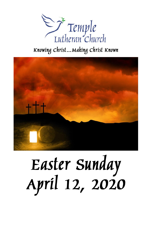

# Knowing Christ... Making Christ Known



# Easter Sunday<br>April 12, 2020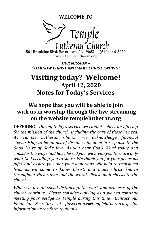**WELCOME TO**



501 Brookline Blvd, Havertown, PA 19083 — (610) 446-3270 www.templelutheran.org

*OUR MISSION – "TO KNOW CHRIST AND MAKE CHRIST KNOWN"*

# **Visiting today? Welcome! April 12, 2020 Notes for Today's Services**

# **We hope that you will be able to join with us in worship through the live streaming on the website templelutheran.org**

**OFFERING** *- During today's service we cannot collect an offering for the mission of the church, including the care of those in need. At Temple Lutheran Church, we acknowledge financial stewardship to be an act of discipleship, done in response to the Good News of God's love. As you hear God's Word today and consider the ways God has blessed you, we invite you to share only what God is calling you to share. We thank you for your generous gifts, and assure you that your donations will help to transform lives as we come to know Christ, and make Christ known throughout Havertown and the world. Please mail checks to the church.*

*While we are all social distancing, the work and expenses of the church continue. Please consider e-giving as a way to continue meeting your pledge to Temple during this time. Contact our Financial Secretary at finsecretary@templelutheran.org for information or the form to do this.*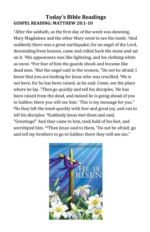### **Today's Bible Readings GOSPEL READING: MATTHEW 28:1-10**

<sup>1</sup>After the sabbath, as the first day of the week was dawning, Mary Magdalene and the other Mary went to see the tomb. 2And suddenly there was a great earthquake; for an angel of the Lord, descending from heaven, came and rolled back the stone and sat on it. 3His appearance was like lightning, and his clothing white as snow. 4For fear of him the guards shook and became like dead men. 5But the angel said to the women, "Do not be afraid; I know that you are looking for Jesus who was crucified. 6He is not here; for he has been raised, as he said. Come, see the place where he lay. <sup>7</sup>Then go quickly and tell his disciples, 'He has been raised from the dead, and indeed he is going ahead of you to Galilee; there you will see him.' This is my message for you." <sup>8</sup>So they left the tomb quickly with fear and great joy, and ran to tell his disciples. 9Suddenly Jesus met them and said, "Greetings!" And they came to him, took hold of his feet, and worshiped him. 10Then Jesus said to them, "Do not be afraid; go and tell my brothers to go to Galilee; there they will see me."

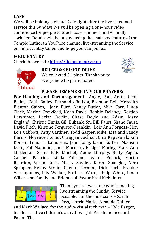# **CAFÉ**

We will be holding a virtual Cafe right after the live-streamed service this Sunday! We will be opening a one-hour video conference for people to touch base, connect, and virtually socialize. Details will be posted using the chat-box feature of the Temple Lutheran YouTube channel live-streaming the Service on Sunday. Stay tuned and hope you can join us.

#### **FOOD PANTRY**

Check the website [https://tlcfoodpantry.com](https://tlcfoodpantry.com/)





**RED CROSS BLOOD DRIVE** We collected 51 pints. Thank you to everyone who participated.

#### **PLEASE REMEMBER IN YOUR PRAYERS:**

**For Healing and Encouragement** Angie, Paul Arata, Geoff Bailey, Keith Bailey, Fernando Batista, Brendan Bell, Meredith Blanton Gaines, John Burd, Nancy Butler, Mike Carr, Linda Clack, Marion Crawford, Noah Davis, Bobbie Delaney, Gordon Dershimer, Declan Devlin, Chase Doyle and Adam, Mary England, Christie Ennis, Gil Eubank, Sr., Bill Faust, Shane Faust, David Fitch, Kristine Ferguson-Franklin, Lois Ann Forgess-Oler, Lois Gabbott, Patty Gardner, Todd Gasper, Mike, Lisa and Sandy Harms, Florence Homer, Craig Jamgochian, Gina Kapusniak, Kim Komar, Louis F. Lamoreux, Jean Long, Jason Luther, Madison Lynn, Pat Mannion, Janet Marinari, Bridget Marley, Mary Ann Mittleman, Sister Judy Moellet, Audie Murphy, Betty Pagan, Carmen Palacios, Linda Palisano, Jeanne Pocock, Marita Reardon, Susan Rush, Merry Snyder, Karen Spangler, Vera Spangler, Benny Strain, Gaetan Termini, Dick Torti, Frankie Vlassopoulos, Lily Walker, Barbara Ward, Philip White, Linda Wilke, The Family and Friends of Pastor Fred McElderry.



Thank you to everyone who is making live streaming the Sunday Service possible. For the musicians – Sarah Foss, Florrie Marks, Amanda Quillen

and Mark Wallace, for the audio-visual tech man – Kyle Barger, for the creative children's activities – Juli Pierdomenico and Pastor Tim.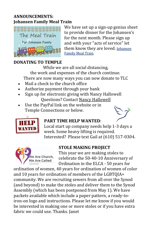#### **ANNOUNCEMENTS: Johansen Family Meal Train**



We have set up a sign-up genius sheet to provide dinner for the Johansen's for the next month. Please sign up and with your "acts of service" let them know they are loved. [Johansen](https://www.signupgenius.com/go/10C0B45AEA82AABFA7-johansen)  [Family Meal Train](https://www.signupgenius.com/go/10C0B45AEA82AABFA7-johansen)

#### **DONATING TO TEMPLE**

While we are all social distancing, the work and expenses of the church continue. There are now many ways you can now donate to TLC

- Mail a check to the church office
- Authorize payment through your bank
- Sign up for electronic giving with Nancy Hallowell Questions? Contact [Nancy Hallowell](mailto:nancy.hallowell@gmail.com)
- Use the PayPal link on the website or in Temple Connections or below.



#### **PART TIME HELP WANTED**:



Local start up company needs help 1-3 days a week. Some heavy lifting is required. Interested? Please text Gail at (610) 517-0304.



#### **STOLE MAKING PROJECT**

This year we are making stoles to celebrate the 50-40-10 Anniversary of Ordination in the ELCA - 50 years for

ordination of women, 40 years for ordination of women of color and 10 years for ordination of members of the LGBTQIA+ community. We are recruiting sewers from all over the Synod (and beyond) to make the stoles and deliver them to the Synod Assembly (which has been postponed from May 1). We have packets available which include a paper pattern, a ready-toiron-on logo and instructions. Please let me know if you would be interested in making one or more stoles or if you have extra fabric we could use. Thanks. Janet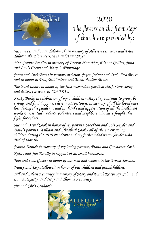

2020

The flowers on the front steps of church are presented by:

*Susan Best and Fran Talarowski in memory of Albert Best, Rose and Fran Talarowski, Florence Evans and Anna Styer.*

*Mrs. Connie Bradley in memory of Evelyn Plumridge, Dianne Collins, Julia and Louis Geczy and Mary O. Plumridge.* 

*Janet and Dick Bruss in memory of Mum, Joyce Codner and Dad, Fred Bruss and in honor of Dad, Bill Codner and Mom, Pauline Bruss.*

*The Burd family in honor of the first responders (medical staff, store clerks and delivery drivers) of COVID19.*

*Kristy Burko in celebration of my 4 children - May they continue to grow, be strong, and find happiness here in Havertown; in memory of all the loved ones lost during this pandemic and in thanks and appreciation of all the healthcare workers, essential workers, volunteers and neighbors who have fought this fight for others.*

*Sue and David Cook in honor of my parents, Stockton and Lois Snyder and Dave's parents, William and Elizabeth Cook - all of them were young children during the 1919 Pandemic and my father's dad Percy Snyder who died of that flu.* 

*Jeanne Daniels in memory of my loving parents, Frank and Constance Loeb.*

*Kathy and Jim Farally in support of all small businesses.*

*Tom and Lois Gasper in honor of our men and women in the Armed Services.*

*Nancy and Roy Hallowell in honor of our children and grandchildren.*

*Bill and Eileen Keaveney in memory of Mary and Dutch Keaveney, John and Laura Hegarty, and Jerry and Thomas Keaveney.*

*Jim and Chris Lenhardt.*

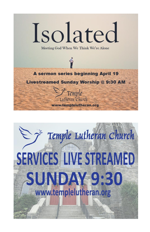